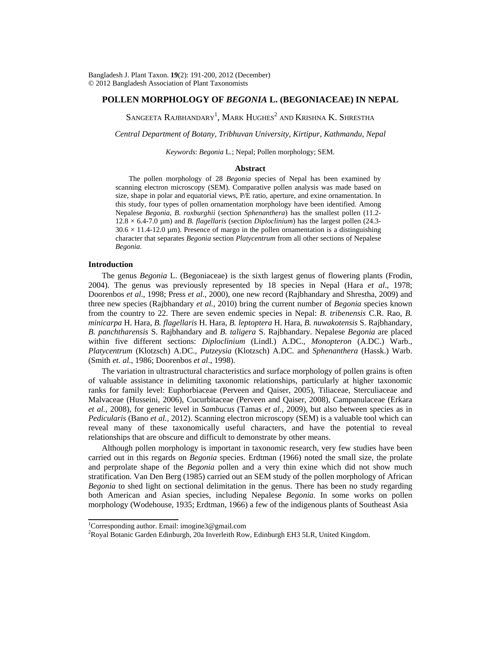## **POLLEN MORPHOLOGY OF** *BEGONIA* **L. (BEGONIACEAE) IN NEPAL**

Sangeeta Rajbhandary $^{\rm l}$ , Mark Hughes $^{\rm 2}$  and Krishna K. Shrestha

*Central Department of Botany, Tribhuvan University, Kirtipur, Kathmandu, Nepal* 

*Keywords*: *Begonia* L*.*; Nepal; Pollen morphology; SEM.

#### **Abstract**

 The pollen morphology of 28 *Begonia* species of Nepal has been examined by scanning electron microscopy (SEM). Comparative pollen analysis was made based on size, shape in polar and equatorial views, P/E ratio, aperture, and exine ornamentation. In this study, four types of pollen ornamentation morphology have been identified. Among Nepalese *Begonia*, *B. roxburghii* (section *Sphenanthera*) has the smallest pollen (11.2- 12.8 × 6.4-7.0 µm) and *B. flagellaris* (section *Diploclinium*) has the largest pollen (24.3-  $30.6 \times 11.4$ -12.0 µm). Presence of margo in the pollen ornamentation is a distinguishing character that separates *Begonia* section *Platycentrum* from all other sections of Nepalese *Begonia*.

## **Introduction**

 The genus *Begonia* L. (Begoniaceae) is the sixth largest genus of flowering plants (Frodin, 2004). The genus was previously represented by 18 species in Nepal (Hara *et al*., 1978; Doorenbos *et al*., 1998; Press *et al*., 2000), one new record (Rajbhandary and Shrestha, 2009) and three new species (Rajbhandary *et al.,* 2010) bring the current number of *Begonia* species known from the country to 22. There are seven endemic species in Nepal: *B. tribenensis* C.R. Rao, *B. minicarpa* H. Hara, *B. flagellaris* H. Hara, *B. leptoptera* H. Hara, *B. nuwakotensis* S. Rajbhandary, *B. panchtharensis* S. Rajbhandary and *B. taligera* S. Rajbhandary. Nepalese *Begonia* are placed within five different sections: *Diploclinium* (Lindl.) A.DC., *Monopteron* (A.DC.) Warb., *Platycentrum* (Klotzsch) A.DC., *Putzeysia* (Klotzsch) A.DC. and *Sphenanthera* (Hassk.) Warb. (Smith *et. al*., 1986; Doorenbos *et al*., 1998).

 The variation in ultrastructural characteristics and surface morphology of pollen grains is often of valuable assistance in delimiting taxonomic relationships, particularly at higher taxonomic ranks for family level: Euphorbiaceae (Perveen and Qaiser, 2005), Tiliaceae, Sterculiaceae and Malvaceae (Husseini, 2006), Cucurbitaceae (Perveen and Qaiser, 2008), Campanulaceae (Erkara *et al.*, 2008), for generic level in *Sambucus* (Tamas *et al.*, 2009), but also between species as in *Pedicularis* (Bano *et al.,* 2012). Scanning electron microscopy (SEM) is a valuable tool which can reveal many of these taxonomically useful characters, and have the potential to reveal relationships that are obscure and difficult to demonstrate by other means.

 Although pollen morphology is important in taxonomic research, very few studies have been carried out in this regards on *Begonia* species. Erdtman (1966) noted the small size, the prolate and perprolate shape of the *Begonia* pollen and a very thin exine which did not show much stratification. Van Den Berg (1985) carried out an SEM study of the pollen morphology of African *Begonia* to shed light on sectional delimitation in the genus. There has been no study regarding both American and Asian species, including Nepalese *Begonia*. In some works on pollen morphology (Wodehouse, 1935; Erdtman, 1966) a few of the indigenous plants of Southeast Asia

<sup>&</sup>lt;sup>1</sup>Corresponding author. Email: imogine3@gmail.com<br><sup>2</sup>Royal Botanic Gardan Edinburgh, 200 Inverlaith Bou

 $^{2}$ Royal Botanic Garden Edinburgh, 20a Inverleith Row, Edinburgh EH3 5LR, United Kingdom.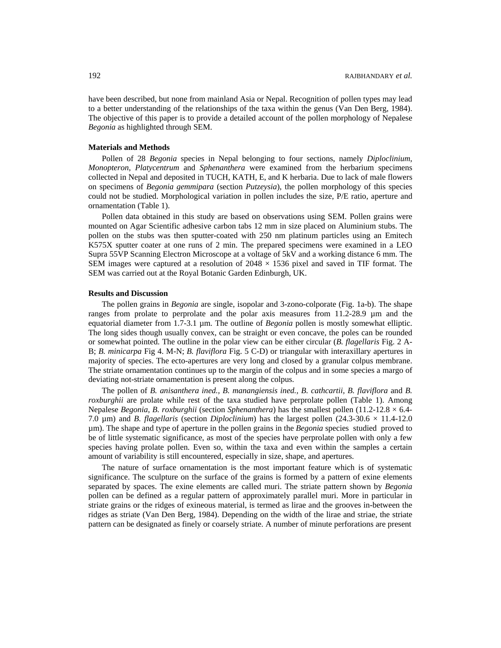have been described, but none from mainland Asia or Nepal. Recognition of pollen types may lead to a better understanding of the relationships of the taxa within the genus (Van Den Berg, 1984). The objective of this paper is to provide a detailed account of the pollen morphology of Nepalese *Begonia* as highlighted through SEM.

## **Materials and Methods**

 Pollen of 28 *Begonia* species in Nepal belonging to four sections, namely *Diploclinium*, *Monopteron*, *Platycentrum* and *Sphenanthera* were examined from the herbarium specimens collected in Nepal and deposited in TUCH, KATH, E, and K herbaria. Due to lack of male flowers on specimens of *Begonia gemmipara* (section *Putzeysia*), the pollen morphology of this species could not be studied. Morphological variation in pollen includes the size, P/E ratio, aperture and ornamentation (Table 1).

 Pollen data obtained in this study are based on observations using SEM. Pollen grains were mounted on Agar Scientific adhesive carbon tabs 12 mm in size placed on Aluminium stubs. The pollen on the stubs was then sputter-coated with 250 nm platinum particles using an Emitech K575X sputter coater at one runs of 2 min. The prepared specimens were examined in a LEO Supra 55VP Scanning Electron Microscope at a voltage of 5kV and a working distance 6 mm. The SEM images were captured at a resolution of  $2048 \times 1536$  pixel and saved in TIF format. The SEM was carried out at the Royal Botanic Garden Edinburgh, UK.

#### **Results and Discussion**

 The pollen grains in *Begonia* are single, isopolar and 3-zono-colporate (Fig. 1a-b). The shape ranges from prolate to perprolate and the polar axis measures from 11.2-28.9 µm and the equatorial diameter from 1.7-3.1 µm. The outline of *Begonia* pollen is mostly somewhat elliptic. The long sides though usually convex, can be straight or even concave, the poles can be rounded or somewhat pointed. The outline in the polar view can be either circular (*B. flagellaris* Fig. 2 A-B; *B. minicarpa* Fig 4. M-N; *B. flaviflora* Fig. 5 C-D) or triangular with interaxillary apertures in majority of species. The ecto-apertures are very long and closed by a granular colpus membrane. The striate ornamentation continues up to the margin of the colpus and in some species a margo of deviating not-striate ornamentation is present along the colpus.

The pollen of *B. anisanthera ined., B. manangiensis ined., B. cathcartii, B. flaviflora and B. roxburghii* are prolate while rest of the taxa studied have perprolate pollen (Table 1). Among Nepalese *Begonia*, *B. roxburghii* (section *Sphenanthera*) has the smallest pollen (11.2-12.8 × 6.4- 7.0  $\mu$ m) and *B. flagellaris* (section *Diploclinium*) has the largest pollen (24.3-30.6  $\times$  11.4-12.0 µm). The shape and type of aperture in the pollen grains in the *Begonia* species studied proved to be of little systematic significance, as most of the species have perprolate pollen with only a few species having prolate pollen. Even so, within the taxa and even within the samples a certain amount of variability is still encountered, especially in size, shape, and apertures.

 The nature of surface ornamentation is the most important feature which is of systematic significance. The sculpture on the surface of the grains is formed by a pattern of exine elements separated by spaces. The exine elements are called muri. The striate pattern shown by *Begonia* pollen can be defined as a regular pattern of approximately parallel muri. More in particular in striate grains or the ridges of exineous material, is termed as lirae and the grooves in-between the ridges as striate (Van Den Berg, 1984). Depending on the width of the lirae and striae, the striate pattern can be designated as finely or coarsely striate. A number of minute perforations are present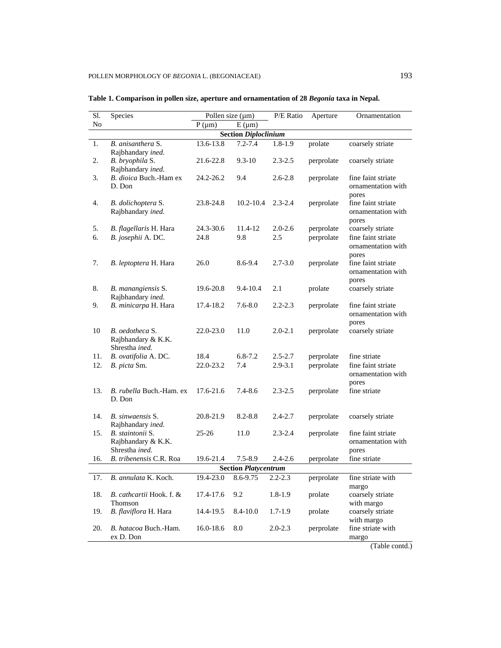| Sl.                         | Species                                                  |               | Pollen size $(\mu m)$       | P/E Ratio   | Aperture   | Ornamentation                                     |  |  |  |  |
|-----------------------------|----------------------------------------------------------|---------------|-----------------------------|-------------|------------|---------------------------------------------------|--|--|--|--|
| No                          |                                                          | $P(\mu m)$    | $E(\mu m)$                  |             |            |                                                   |  |  |  |  |
| <b>Section Diploclinium</b> |                                                          |               |                             |             |            |                                                   |  |  |  |  |
| 1.                          | B. anisanthera S.<br>Rajbhandary ined.                   | 13.6-13.8     | $7.2 - 7.4$                 | $1.8 - 1.9$ | prolate    | coarsely striate                                  |  |  |  |  |
| 2.                          | B. bryophila S.<br>Rajbhandary ined.                     | 21.6-22.8     | $9.3 - 10$                  | $2.3 - 2.5$ | perprolate | coarsely striate                                  |  |  |  |  |
| 3.                          | B. dioica Buch.-Ham ex<br>D. Don                         | 24.2-26.2     | 9.4                         | $2.6 - 2.8$ | perprolate | fine faint striate<br>ornamentation with<br>pores |  |  |  |  |
| 4.                          | B. dolichoptera S.<br>Rajbhandary ined.                  | 23.8-24.8     | $10.2 - 10.4$               | $2.3 - 2.4$ | perprolate | fine faint striate<br>ornamentation with<br>pores |  |  |  |  |
| 5.                          | B. flagellaris H. Hara                                   | 24.3-30.6     | 11.4-12                     | $2.0 - 2.6$ | perprolate | coarsely striate                                  |  |  |  |  |
| 6.                          | B. josephii A. DC.                                       | 24.8          | 9.8                         | 2.5         | perprolate | fine faint striate<br>ornamentation with<br>pores |  |  |  |  |
| 7.                          | B. leptoptera H. Hara                                    | 26.0          | 8.6-9.4                     | $2.7 - 3.0$ | perprolate | fine faint striate<br>ornamentation with<br>pores |  |  |  |  |
| 8.                          | B. manangiensis S.<br>Rajbhandary ined.                  | 19.6-20.8     | $9.4 - 10.4$                | 2.1         | prolate    | coarsely striate                                  |  |  |  |  |
| 9.                          | B. minicarpa H. Hara                                     | 17.4-18.2     | $7.6 - 8.0$                 | $2.2 - 2.3$ | perprolate | fine faint striate<br>ornamentation with<br>pores |  |  |  |  |
| 10                          | B. oedotheca S.<br>Rajbhandary & K.K.<br>Shrestha ined.  | 22.0-23.0     | 11.0                        | $2.0 - 2.1$ | perprolate | coarsely striate                                  |  |  |  |  |
| 11.                         | B. ovatifolia A. DC.                                     | 18.4          | $6.8 - 7.2$                 | $2.5 - 2.7$ | perprolate | fine striate                                      |  |  |  |  |
| 12.                         | B. picta Sm.                                             | 22.0-23.2     | 7.4                         | $2.9 - 3.1$ | perprolate | fine faint striate<br>ornamentation with<br>pores |  |  |  |  |
| 13.                         | B. rubella Buch.-Ham. ex<br>D. Don                       | 17.6-21.6     | 7.4-8.6                     | $2.3 - 2.5$ | perprolate | fine striate                                      |  |  |  |  |
| 14.                         | B. sinwaensis S.<br>Rajbhandary ined.                    | 20.8-21.9     | $8.2 - 8.8$                 | $2.4 - 2.7$ | perprolate | coarsely striate                                  |  |  |  |  |
| 15.                         | B. staintonii S.<br>Rajbhandary & K.K.<br>Shrestha ined. | $25 - 26$     | 11.0                        | $2.3 - 2.4$ | perprolate | fine faint striate<br>ornamentation with<br>pores |  |  |  |  |
| 16.                         | B. tribenensis C.R. Roa                                  | 19.6-21.4     | $7.5 - 8.9$                 | $2.4 - 2.6$ | perprolate | fine striate                                      |  |  |  |  |
|                             |                                                          |               | <b>Section Platycentrum</b> |             |            |                                                   |  |  |  |  |
| 17.                         | B. annulata K. Koch.                                     | $19.4 - 23.0$ | $8.6 - 9.75$                | $2.2 - 2.3$ | perprolate | fine striate with<br>margo                        |  |  |  |  |
| 18.                         | B. cathcartii Hook. f. &<br>Thomson                      | 17.4-17.6     | 9.2                         | $1.8 - 1.9$ | prolate    | coarsely striate<br>with margo                    |  |  |  |  |
| 19.                         | B. flaviflora H. Hara                                    | 14.4-19.5     | 8.4-10.0                    | $1.7 - 1.9$ | prolate    | coarsely striate<br>with margo                    |  |  |  |  |
| 20.                         | B. hatacoa Buch.-Ham.<br>ex D. Don                       | 16.0-18.6     | 8.0                         | $2.0 - 2.3$ | perprolate | fine striate with<br>margo                        |  |  |  |  |

# **Table 1. Comparison in pollen size, aperture and ornamentation of 28** *Begonia* **taxa in Nepal.**

(Table contd.)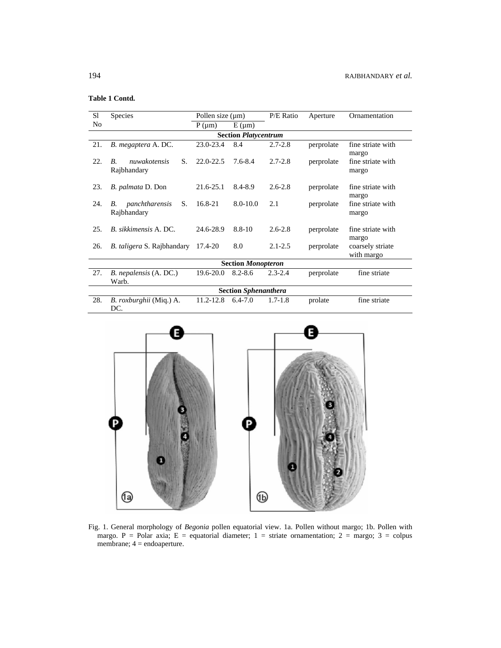# **Table 1 Contd.**

| S1                          | Species                                               | Pollen size $(\mu m)$ |              | P/E Ratio   | Aperture   | Ornamentation                  |  |  |  |  |  |
|-----------------------------|-------------------------------------------------------|-----------------------|--------------|-------------|------------|--------------------------------|--|--|--|--|--|
| No                          |                                                       | $P(\mu m)$            | $E(\mu m)$   |             |            |                                |  |  |  |  |  |
| <b>Section Platycentrum</b> |                                                       |                       |              |             |            |                                |  |  |  |  |  |
| 21.                         | B. megaptera A. DC.                                   | 23.0-23.4             | 8.4          | $2.7 - 2.8$ | perprolate | fine striate with<br>margo     |  |  |  |  |  |
| 22.                         | nuwakotensis<br>S.<br>$\overline{B}$ .<br>Rajbhandary | $22.0 - 22.5$         | $7.6 - 8.4$  | $2.7 - 2.8$ | perprolate | fine striate with<br>margo     |  |  |  |  |  |
| 23.                         | B. palmata D. Don                                     | $21.6 - 25.1$         | 8.4-8.9      | $2.6 - 2.8$ | perprolate | fine striate with<br>margo     |  |  |  |  |  |
| 24.                         | panchtharensis<br>S.<br>В.<br>Rajbhandary             | 16.8-21               | $8.0 - 10.0$ | 2.1         | perprolate | fine striate with<br>margo     |  |  |  |  |  |
| 25.                         | B. sikkimensis A. DC.                                 | 24.6-28.9             | $8.8 - 10$   | $2.6 - 2.8$ | perprolate | fine striate with<br>margo     |  |  |  |  |  |
| 26.                         | <i>B. taligera S. Rajbhandary</i>                     | 17.4-20               | 8.0          | $2.1 - 2.5$ | perprolate | coarsely striate<br>with margo |  |  |  |  |  |
| <b>Section Monopteron</b>   |                                                       |                       |              |             |            |                                |  |  |  |  |  |
| 27.                         | B. nepalensis (A. DC.)<br>Warb.                       | $19.6 - 20.0$         | $8.2 - 8.6$  | $2.3 - 2.4$ | perprolate | fine striate                   |  |  |  |  |  |
|                             | <b>Section Sphenanthera</b>                           |                       |              |             |            |                                |  |  |  |  |  |
| 28.                         | B. roxburghii (Miq.) A.<br>DC.                        | $11.2 - 12.8$         | $6.4 - 7.0$  | $1.7 - 1.8$ | prolate    | fine striate                   |  |  |  |  |  |



Fig. 1. General morphology of *Begonia* pollen equatorial view. 1a. Pollen without margo; 1b. Pollen with margo. P = Polar axia; E = equatorial diameter; 1 = striate ornamentation; 2 = margo; 3 = colpus membrane; 4 = endoaperture.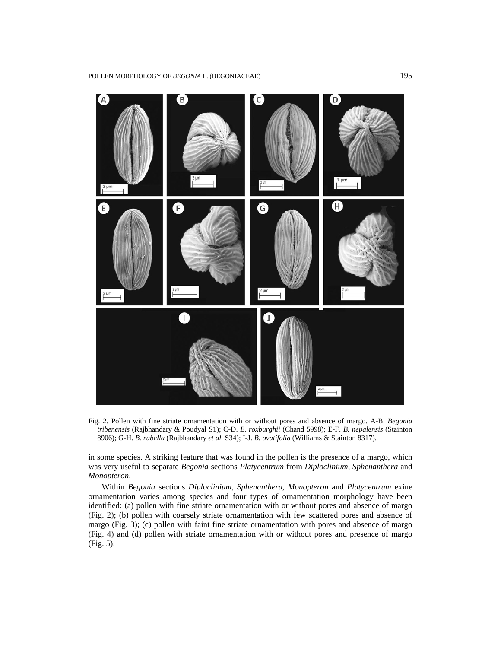

Fig. 2. Pollen with fine striate ornamentation with or without pores and absence of margo. A-B. *Begonia tribenensis* (Rajbhandary & Poudyal S1); C-D. *B. roxburghii* (Chand 5998); E-F. *B. nepalensis* (Stainton 8906); G-H. *B. rubella* (Rajbhandary *et al.* S34); I-J. *B. ovatifolia* (Williams & Stainton 8317).

in some species. A striking feature that was found in the pollen is the presence of a margo, which was very useful to separate *Begonia* sections *Platycentrum* from *Diploclinium*, *Sphenanthera* and *Monopteron*.

 Within *Begonia* sections *Diploclinium*, *Sphenanthera*, *Monopteron* and *Platycentrum* exine ornamentation varies among species and four types of ornamentation morphology have been identified: (a) pollen with fine striate ornamentation with or without pores and absence of margo (Fig. 2); (b) pollen with coarsely striate ornamentation with few scattered pores and absence of margo (Fig. 3); (c) pollen with faint fine striate ornamentation with pores and absence of margo (Fig. 4) and (d) pollen with striate ornamentation with or without pores and presence of margo (Fig. 5).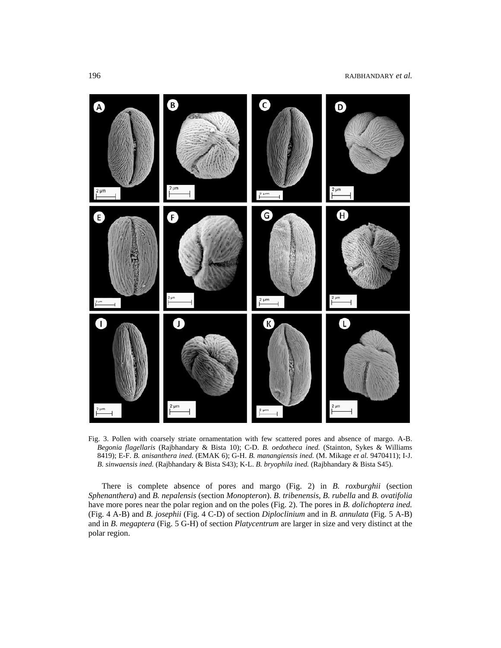

Fig. 3. Pollen with coarsely striate ornamentation with few scattered pores and absence of margo. A-B. *Begonia flagellaris* (Rajbhandary & Bista 10); C-D. *B. oedotheca ined.* (Stainton, Sykes & Williams 8419); E-F. *B. anisanthera ined.* (EMAK 6); G-H. *B. manangiensis ined.* (M. Mikage *et al.* 9470411); I-J. *B. sinwaensis ined.* (Rajbhandary & Bista S43); K-L. *B. bryophila ined.* (Rajbhandary & Bista S45).

 There is complete absence of pores and margo (Fig. 2) in *B. roxburghii* (section *Sphenanthera*) and *B. nepalensis* (section *Monopteron*). *B. tribenensis, B. rubella* and *B. ovatifolia* have more pores near the polar region and on the poles (Fig. 2). The pores in *B. dolichoptera ined.* (Fig. 4 A-B) and *B. josephii* (Fig. 4 C-D) of section *Diploclinium* and in *B. annulata* (Fig. 5 A-B) and in *B. megaptera* (Fig. 5 G-H) of section *Platycentrum* are larger in size and very distinct at the polar region.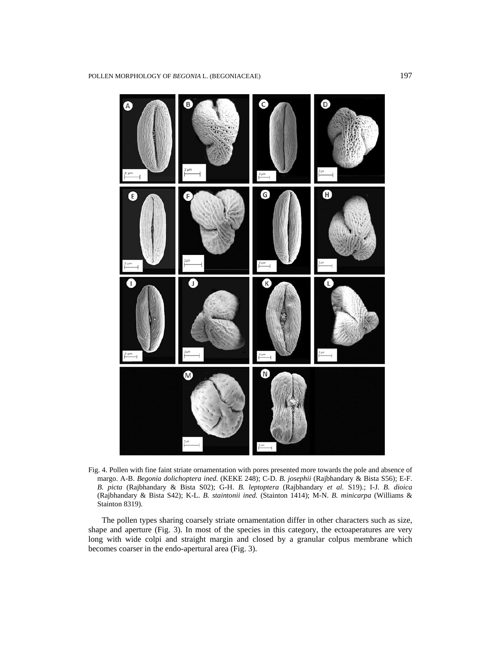

Fig. 4. Pollen with fine faint striate ornamentation with pores presented more towards the pole and absence of margo. A-B. *Begonia dolichoptera ined.* (KEKE 248); C-D. *B. josephii* (Rajbhandary & Bista S56); E-F. *B. picta* (Rajbhandary & Bista S02); G-H. *B. leptoptera* (Rajbhandary *et al.* S19).; I-J. *B. dioica*  (Rajbhandary & Bista S42); K-L. *B. staintonii ined.* (Stainton 1414); M-N. *B. minicarpa* (Williams & Stainton 8319).

 The pollen types sharing coarsely striate ornamentation differ in other characters such as size, shape and aperture (Fig. 3). In most of the species in this category, the ectoaperatures are very long with wide colpi and straight margin and closed by a granular colpus membrane which becomes coarser in the endo-apertural area (Fig. 3).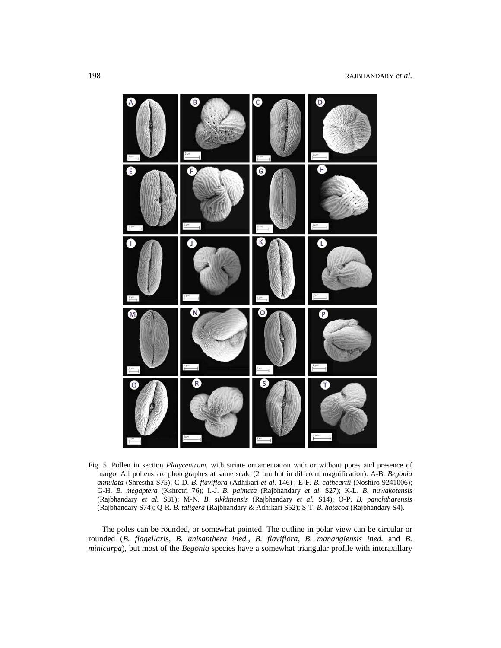

Fig. 5. Pollen in section *Platycentrum,* with striate ornamentation with or without pores and presence of margo. All pollens are photographes at same scale (2 µm but in different magnification). A-B. *Begonia annulata* (Shrestha S75); C-D. *B. flaviflora* (Adhikari *et al.* 146) ; E-F. *B. cathcartii* (Noshiro 9241006); G-H. *B. megaptera* (Kshretri 76); I.-J. *B. palmata* (Rajbhandary *et al.* S27); K-L. *B. nuwakotensis* (Rajbhandary *et al.* S31); M-N. *B. sikkimensis* (Rajbhandary *et al.* S14); O-P. *B. panchtharensis* (Rajbhandary S74); Q-R. *B. taligera* (Rajbhandary & Adhikari S52); S-T. *B. hatacoa* (Rajbhandary S4).

 The poles can be rounded, or somewhat pointed. The outline in polar view can be circular or rounded (*B. flagellaris, B. anisanthera ined.*, *B. flaviflora, B. manangiensis ined.* and *B. minicarpa*), but most of the *Begonia* species have a somewhat triangular profile with interaxillary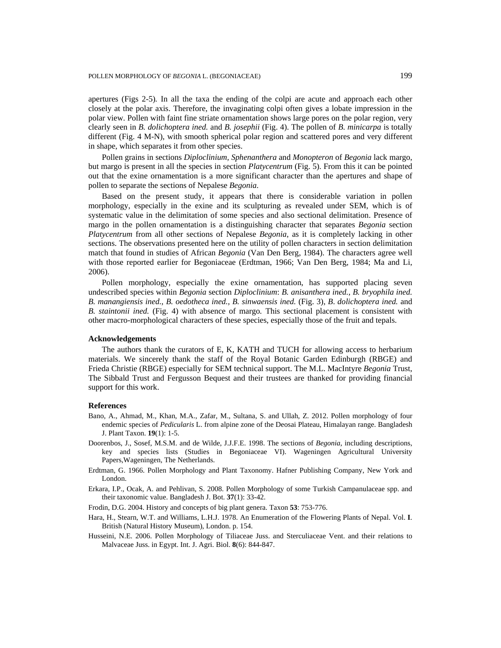apertures (Figs 2-5)*.* In all the taxa the ending of the colpi are acute and approach each other closely at the polar axis. Therefore, the invaginating colpi often gives a lobate impression in the polar view. Pollen with faint fine striate ornamentation shows large pores on the polar region, very clearly seen in *B. dolichoptera ined.* and *B. josephii* (Fig. 4). The pollen of *B. minicarpa* is totally different (Fig. 4 M-N), with smooth spherical polar region and scattered pores and very different in shape, which separates it from other species.

 Pollen grains in sections *Diploclinium, Sphenanthera* and *Monopteron* of *Begonia* lack margo, but margo is present in all the species in section *Platycentrum* (Fig. 5). From this it can be pointed out that the exine ornamentation is a more significant character than the apertures and shape of pollen to separate the sections of Nepalese *Begonia*.

 Based on the present study, it appears that there is considerable variation in pollen morphology, especially in the exine and its sculpturing as revealed under SEM, which is of systematic value in the delimitation of some species and also sectional delimitation. Presence of margo in the pollen ornamentation is a distinguishing character that separates *Begonia* section *Platycentrum* from all other sections of Nepalese *Begonia*, as it is completely lacking in other sections. The observations presented here on the utility of pollen characters in section delimitation match that found in studies of African *Begonia* (Van Den Berg, 1984). The characters agree well with those reported earlier for Begoniaceae (Erdtman, 1966; Van Den Berg, 1984; Ma and Li, 2006).

 Pollen morphology, especially the exine ornamentation, has supported placing seven undescribed species within *Begonia* section *Diploclinium*: *B. anisanthera ined.*, *B. bryophila ined. B. manangiensis ined.*, *B. oedotheca ined., B. sinwaensis ined.* (Fig. 3), *B*. *dolichoptera ined.* and *B. staintonii ined.* (Fig. 4) with absence of margo*.* This sectional placement is consistent with other macro-morphological characters of these species, especially those of the fruit and tepals.

#### **Acknowledgements**

 The authors thank the curators of E, K, KATH and TUCH for allowing access to herbarium materials. We sincerely thank the staff of the Royal Botanic Garden Edinburgh (RBGE) and Frieda Christie (RBGE) especially for SEM technical support. The M.L. MacIntyre *Begonia* Trust, The Sibbald Trust and Fergusson Bequest and their trustees are thanked for providing financial support for this work.

## **References**

- Bano, A., Ahmad, M., Khan, M.A., Zafar, M., Sultana, S. and Ullah, Z. 2012. Pollen morphology of four endemic species of *Pedicularis* L. from alpine zone of the Deosai Plateau, Himalayan range. Bangladesh J. Plant Taxon. **19**(1): 1-5.
- Doorenbos, J., Sosef, M.S.M. and de Wilde, J.J.F.E. 1998. The sections of *Begonia*, including descriptions, key and species lists (Studies in Begoniaceae VI). Wageningen Agricultural University Papers,Wageningen, The Netherlands.
- Erdtman, G. 1966. Pollen Morphology and Plant Taxonomy. Hafner Publishing Company, New York and London.
- Erkara, I.P., Ocak, A. and Pehlivan, S. 2008. Pollen Morphology of some Turkish Campanulaceae spp. and their taxonomic value. Bangladesh J. Bot. **37**(1): 33-42.
- Frodin, D.G. 2004. History and concepts of big plant genera. Taxon **53**: 753-776.
- Hara, H., Stearn, W.T. and Williams, L.H.J. 1978. An Enumeration of the Flowering Plants of Nepal. Vol. **I**. British (Natural History Museum), London. p. 154.
- Husseini, N.E. 2006. Pollen Morphology of Tiliaceae Juss. and Sterculiaceae Vent. and their relations to Malvaceae Juss. in Egypt. Int. J. Agri. Biol. **8**(6): 844-847.